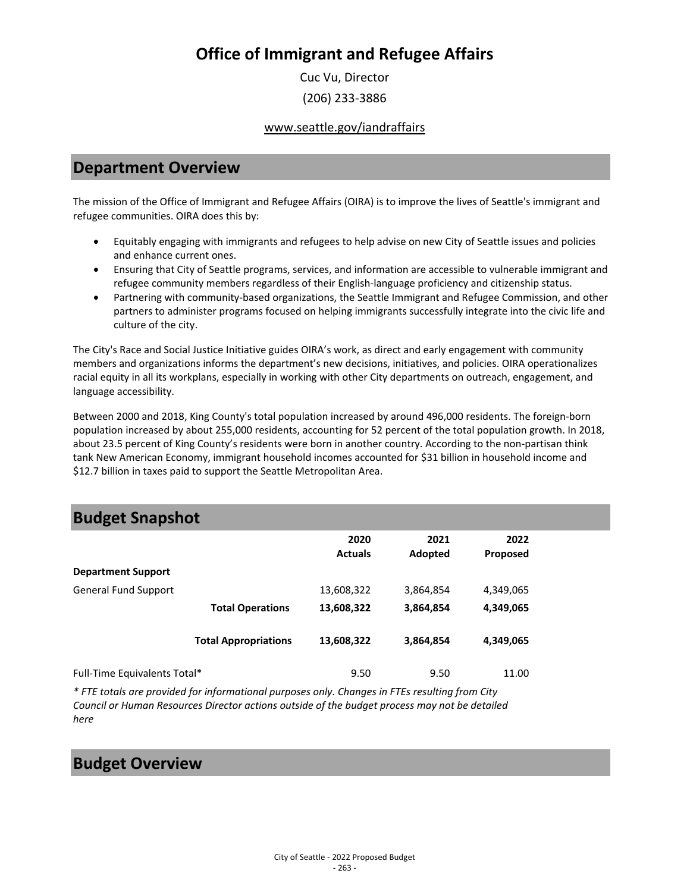Cuc Vu, Director (206) 233-3886

www.seattle.gov/iandraffairs

### **Department Overview**

The mission of the Office of Immigrant and Refugee Affairs (OIRA) is to improve the lives of Seattle's immigrant and refugee communities. OIRA does this by:

- Equitably engaging with immigrants and refugees to help advise on new City of Seattle issues and policies and enhance current ones.
- Ensuring that City of Seattle programs, services, and information are accessible to vulnerable immigrant and refugee community members regardless of their English-language proficiency and citizenship status.
- Partnering with community-based organizations, the Seattle Immigrant and Refugee Commission, and other partners to administer programs focused on helping immigrants successfully integrate into the civic life and culture of the city.

The City's Race and Social Justice Initiative guides OIRA's work, as direct and early engagement with community members and organizations informs the department's new decisions, initiatives, and policies. OIRA operationalizes racial equity in all its workplans, especially in working with other City departments on outreach, engagement, and language accessibility.

Between 2000 and 2018, King County's total population increased by around 496,000 residents. The foreign-born population increased by about 255,000 residents, accounting for 52 percent of the total population growth. In 2018, about 23.5 percent of King County's residents were born in another country. According to the non-partisan think tank New American Economy, immigrant household incomes accounted for \$31 billion in household income and \$12.7 billion in taxes paid to support the Seattle Metropolitan Area.

### **Budget Snapshot**

|                              |                             | 2020<br><b>Actuals</b> | 2021<br>Adopted | 2022<br><b>Proposed</b> |  |
|------------------------------|-----------------------------|------------------------|-----------------|-------------------------|--|
| <b>Department Support</b>    |                             |                        |                 |                         |  |
| <b>General Fund Support</b>  |                             | 13,608,322             | 3,864,854       | 4,349,065               |  |
|                              | <b>Total Operations</b>     | 13,608,322             | 3,864,854       | 4,349,065               |  |
|                              | <b>Total Appropriations</b> | 13,608,322             | 3,864,854       | 4,349,065               |  |
|                              |                             |                        |                 |                         |  |
| Full-Time Equivalents Total* |                             | 9.50                   | 9.50            | 11.00                   |  |

*\* FTE totals are provided for informational purposes only. Changes in FTEs resulting from City Council or Human Resources Director actions outside of the budget process may not be detailed here*

### **Budget Overview**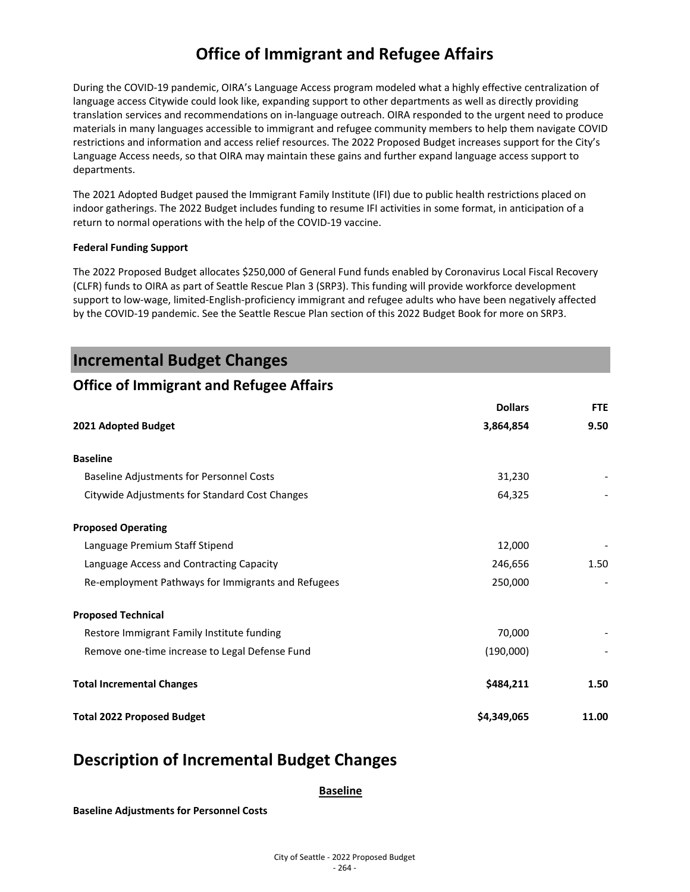During the COVID-19 pandemic, OIRA's Language Access program modeled what a highly effective centralization of language access Citywide could look like, expanding support to other departments as well as directly providing translation services and recommendations on in-language outreach. OIRA responded to the urgent need to produce materials in many languages accessible to immigrant and refugee community members to help them navigate COVID restrictions and information and access relief resources. The 2022 Proposed Budget increases support for the City's Language Access needs, so that OIRA may maintain these gains and further expand language access support to departments.

The 2021 Adopted Budget paused the Immigrant Family Institute (IFI) due to public health restrictions placed on indoor gatherings. The 2022 Budget includes funding to resume IFI activities in some format, in anticipation of a return to normal operations with the help of the COVID-19 vaccine.

#### **Federal Funding Support**

The 2022 Proposed Budget allocates \$250,000 of General Fund funds enabled by Coronavirus Local Fiscal Recovery (CLFR) funds to OIRA as part of Seattle Rescue Plan 3 (SRP3). This funding will provide workforce development support to low-wage, limited-English-proficiency immigrant and refugee adults who have been negatively affected by the COVID-19 pandemic. See the Seattle Rescue Plan section of this 2022 Budget Book for more on SRP3.

### **Incremental Budget Changes**

### **Office of Immigrant and Refugee Affairs**

|                                                    | <b>Dollars</b> | <b>FTE</b> |
|----------------------------------------------------|----------------|------------|
| 2021 Adopted Budget                                | 3,864,854      | 9.50       |
| <b>Baseline</b>                                    |                |            |
| Baseline Adjustments for Personnel Costs           | 31,230         |            |
| Citywide Adjustments for Standard Cost Changes     | 64,325         |            |
| <b>Proposed Operating</b>                          |                |            |
| Language Premium Staff Stipend                     | 12,000         |            |
| Language Access and Contracting Capacity           | 246,656        | 1.50       |
| Re-employment Pathways for Immigrants and Refugees | 250,000        |            |
| <b>Proposed Technical</b>                          |                |            |
| Restore Immigrant Family Institute funding         | 70,000         |            |
| Remove one-time increase to Legal Defense Fund     | (190,000)      |            |
| <b>Total Incremental Changes</b>                   | \$484,211      | 1.50       |
| <b>Total 2022 Proposed Budget</b>                  | \$4,349,065    | 11.00      |

### **Description of Incremental Budget Changes**

**Baseline**

**Baseline Adjustments for Personnel Costs**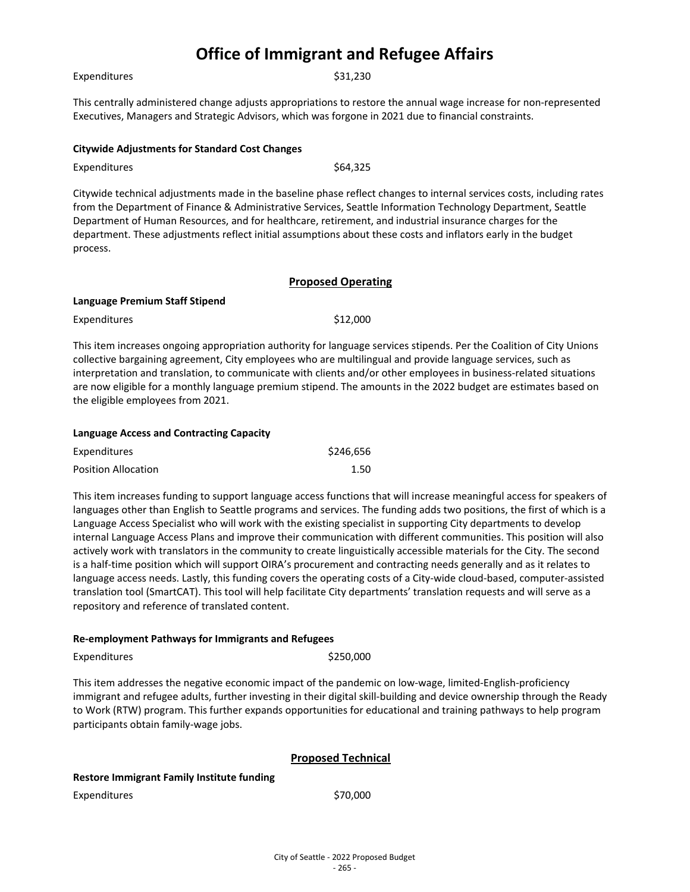Expenditures \$31,230

This centrally administered change adjusts appropriations to restore the annual wage increase for non-represented Executives, Managers and Strategic Advisors, which was forgone in 2021 due to financial constraints.

#### **Citywide Adjustments for Standard Cost Changes**

Expenditures \$64,325

Citywide technical adjustments made in the baseline phase reflect changes to internal services costs, including rates from the Department of Finance & Administrative Services, Seattle Information Technology Department, Seattle Department of Human Resources, and for healthcare, retirement, and industrial insurance charges for the department. These adjustments reflect initial assumptions about these costs and inflators early in the budget process.

#### **Proposed Operating**

#### **Language Premium Staff Stipend**

| Expenditures | \$12,000 |
|--------------|----------|
|              |          |

This item increases ongoing appropriation authority for language services stipends. Per the Coalition of City Unions collective bargaining agreement, City employees who are multilingual and provide language services, such as interpretation and translation, to communicate with clients and/or other employees in business-related situations are now eligible for a monthly language premium stipend. The amounts in the 2022 budget are estimates based on the eligible employees from 2021.

| Language Access and Contracting Capacity |           |  |
|------------------------------------------|-----------|--|
| <b>Expenditures</b>                      | \$246,656 |  |
| <b>Position Allocation</b>               | 1.50      |  |

This item increases funding to support language access functions that will increase meaningful access for speakers of languages other than English to Seattle programs and services. The funding adds two positions, the first of which is a Language Access Specialist who will work with the existing specialist in supporting City departments to develop internal Language Access Plans and improve their communication with different communities. This position will also actively work with translators in the community to create linguistically accessible materials for the City. The second is a half-time position which will support OIRA's procurement and contracting needs generally and as it relates to language access needs. Lastly, this funding covers the operating costs of a City-wide cloud-based, computer-assisted translation tool (SmartCAT). This tool will help facilitate City departments' translation requests and will serve as a repository and reference of translated content.

#### **Re-employment Pathways for Immigrants and Refugees**

Expenditures \$250,000

This item addresses the negative economic impact of the pandemic on low-wage, limited-English-proficiency immigrant and refugee adults, further investing in their digital skill-building and device ownership through the Ready to Work (RTW) program. This further expands opportunities for educational and training pathways to help program participants obtain family-wage jobs.

#### **Proposed Technical**

#### **Restore Immigrant Family Institute funding**

Expenditures \$70,000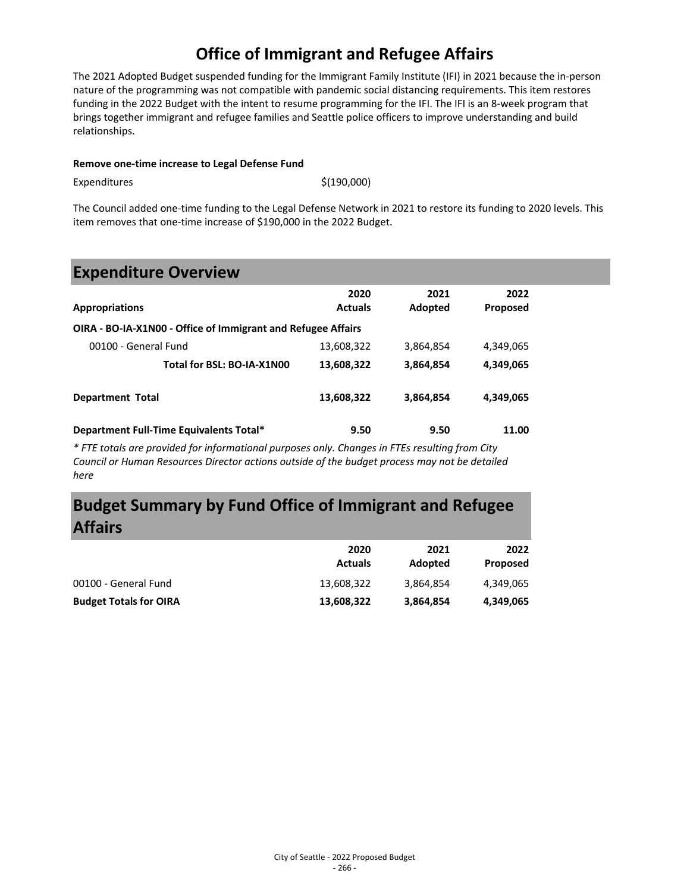The 2021 Adopted Budget suspended funding for the Immigrant Family Institute (IFI) in 2021 because the in-person nature of the programming was not compatible with pandemic social distancing requirements. This item restores funding in the 2022 Budget with the intent to resume programming for the IFI. The IFI is an 8-week program that brings together immigrant and refugee families and Seattle police officers to improve understanding and build relationships.

#### **Remove one-time increase to Legal Defense Fund**

 $Expenditures$   $\zeta(190,000)$ 

The Council added one-time funding to the Legal Defense Network in 2021 to restore its funding to 2020 levels. This item removes that one-time increase of \$190,000 in the 2022 Budget.

## **Expenditure Overview**

| <b>Appropriations</b>                                        | 2020<br><b>Actuals</b> | 2021<br>Adopted | 2022<br>Proposed |  |
|--------------------------------------------------------------|------------------------|-----------------|------------------|--|
| OIRA - BO-IA-X1N00 - Office of Immigrant and Refugee Affairs |                        |                 |                  |  |
| 00100 - General Fund                                         | 13,608,322             | 3,864,854       | 4,349,065        |  |
| Total for BSL: BO-IA-X1N00                                   | 13,608,322             | 3,864,854       | 4,349,065        |  |
| <b>Department Total</b>                                      | 13,608,322             | 3,864,854       | 4,349,065        |  |
| Department Full-Time Equivalents Total*                      | 9.50                   | 9.50            | 11.00            |  |

*\* FTE totals are provided for informational purposes only. Changes in FTEs resulting from City Council or Human Resources Director actions outside of the budget process may not be detailed here*

# **Budget Summary by Fund Office of Immigrant and Refugee Affairs**

|                               | 2020<br><b>Actuals</b> | 2021<br>Adopted | 2022<br><b>Proposed</b> |
|-------------------------------|------------------------|-----------------|-------------------------|
| 00100 - General Fund          | 13,608,322             | 3,864,854       | 4.349.065               |
| <b>Budget Totals for OIRA</b> | 13,608,322             | 3,864,854       | 4,349,065               |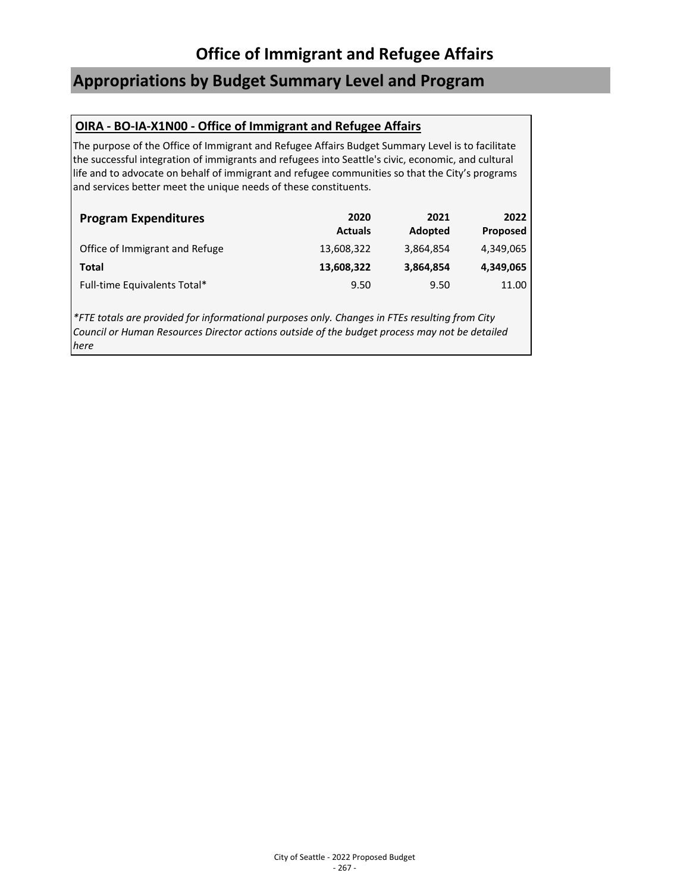# **Appropriations by Budget Summary Level and Program**

### **OIRA - BO-IA-X1N00 - Office of Immigrant and Refugee Affairs**

The purpose of the Office of Immigrant and Refugee Affairs Budget Summary Level is to facilitate the successful integration of immigrants and refugees into Seattle's civic, economic, and cultural life and to advocate on behalf of immigrant and refugee communities so that the City's programs and services better meet the unique needs of these constituents.

| <b>Program Expenditures</b>    | 2020<br><b>Actuals</b> | 2021<br>Adopted | 2022<br>Proposed |
|--------------------------------|------------------------|-----------------|------------------|
| Office of Immigrant and Refuge | 13,608,322             | 3,864,854       | 4,349,065        |
| Total                          | 13,608,322             | 3,864,854       | 4,349,065        |
| Full-time Equivalents Total*   | 9.50                   | 9.50            | 11.00            |

*\*FTE totals are provided for informational purposes only. Changes in FTEs resulting from City Council or Human Resources Director actions outside of the budget process may not be detailed here*